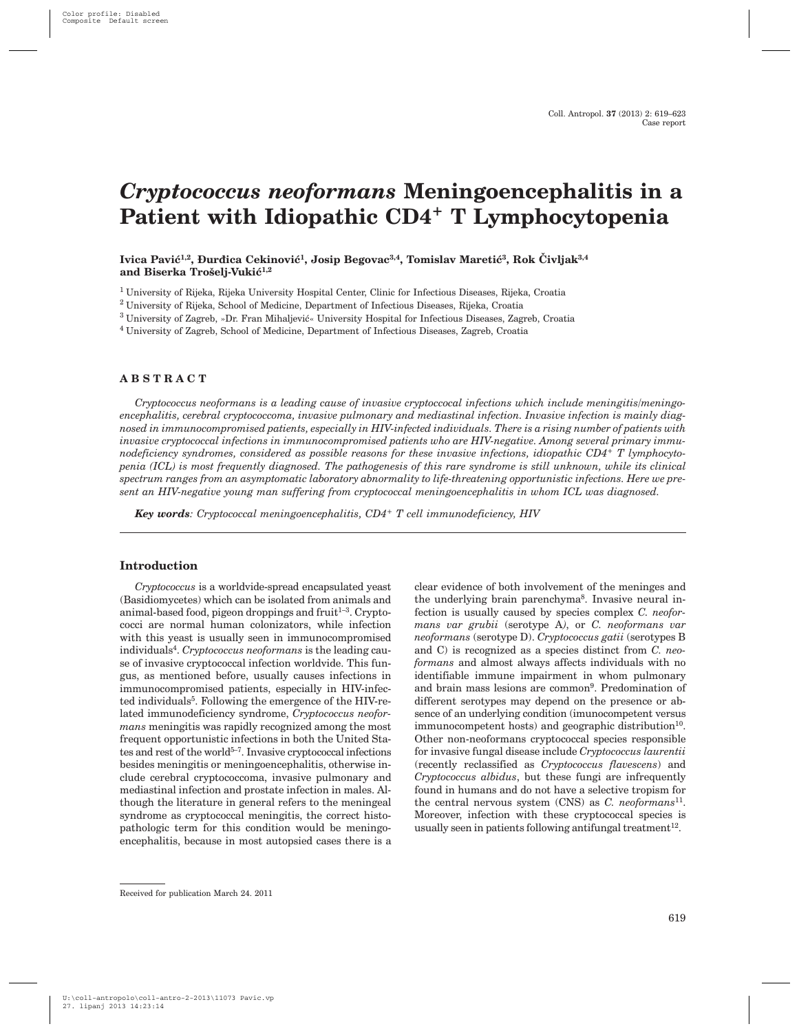# *Cryptococcus neoformans* **Meningoencephalitis in a Patient with Idiopathic CD4+ T Lymphocytopenia**

Ivica Pavić<sup>1,2</sup>, Đurđica Cekinović<sup>1</sup>, Josip Begovac<sup>3,4</sup>, Tomislav Maretić<sup>3</sup>, Rok Čivljak<sup>3,4</sup> and Biserka Trošelj-Vukić<sup>1,2</sup>

<sup>1</sup> University of Rijeka, Rijeka University Hospital Center, Clinic for Infectious Diseases, Rijeka, Croatia

<sup>2</sup> University of Rijeka, School of Medicine, Department of Infectious Diseases, Rijeka, Croatia

 $3$  University of Zagreb, »Dr. Fran Mihaljević« University Hospital for Infectious Diseases, Zagreb, Croatia

<sup>4</sup> University of Zagreb, School of Medicine, Department of Infectious Diseases, Zagreb, Croatia

# **ABSTRACT**

*Cryptococcus neoformans is a leading cause of invasive cryptoccocal infections which include meningitis/meningoencephalitis, cerebral cryptococcoma, invasive pulmonary and mediastinal infection. Invasive infection is mainly diagnosed in immunocompromised patients, especially in HIV-infected individuals. There is a rising number of patients with invasive cryptococcal infections in immunocompromised patients who are HIV-negative. Among several primary immunodeficiency syndromes, considered as possible reasons for these invasive infections, idiopathic CD4+ T lymphocytopenia (ICL) is most frequently diagnosed. The pathogenesis of this rare syndrome is still unknown, while its clinical spectrum ranges from an asymptomatic laboratory abnormality to life-threatening opportunistic infections. Here we present an HIV-negative young man suffering from cryptococcal meningoencephalitis in whom ICL was diagnosed.*

*Key words: Cryptococcal meningoencephalitis, CD4+ T cell immunodeficiency, HIV*

# **Introduction**

*Cryptococcus* is a worldvide-spread encapsulated yeast (Basidiomycetes) which can be isolated from animals and animal-based food, pigeon droppings and fruit $1-3$ . Cryptococci are normal human colonizators, while infection with this yeast is usually seen in immunocompromised individuals<sup>4</sup>. *Cryptococcus neoformans* is the leading cause of invasive cryptococcal infection worldvide. This fungus, as mentioned before, usually causes infections in immunocompromised patients, especially in HIV-infected individuals<sup>5</sup>. Following the emergence of the HIV-related immunodeficiency syndrome, *Cryptococcus neoformans* meningitis was rapidly recognized among the most frequent opportunistic infections in both the United States and rest of the world<sup>5-7</sup>. Invasive cryptococcal infections besides meningitis or meningoencephalitis, otherwise include cerebral cryptococcoma, invasive pulmonary and mediastinal infection and prostate infection in males. Although the literature in general refers to the meningeal syndrome as cryptococcal meningitis, the correct histopathologic term for this condition would be meningoencephalitis, because in most autopsied cases there is a

clear evidence of both involvement of the meninges and the underlying brain parenchyma8. Invasive neural infection is usually caused by species complex *C. neoformans var grubii* (serotype A*)*, or *C. neoformans var neoformans* (serotype D). *Cryptococcus gatii* (serotypes B and C) is recognized as a species distinct from *C. neoformans* and almost always affects individuals with no identifiable immune impairment in whom pulmonary and brain mass lesions are common<sup>9</sup>. Predomination of different serotypes may depend on the presence or absence of an underlying condition (imunocompetent versus  $immunocompetent$  hosts) and geographic distribution<sup>10</sup>. Other non-neoformans cryptococcal species responsible for invasive fungal disease include *Cryptococcus laurentii* (recently reclassified as *Cryptococcus flavescens*) and *Cryptococcus albidus*, but these fungi are infrequently found in humans and do not have a selective tropism for the central nervous system (CNS) as *C. neoformans*11. Moreover, infection with these cryptococcal species is usually seen in patients following antifungal treatment<sup>12</sup>.

Received for publication March 24. 2011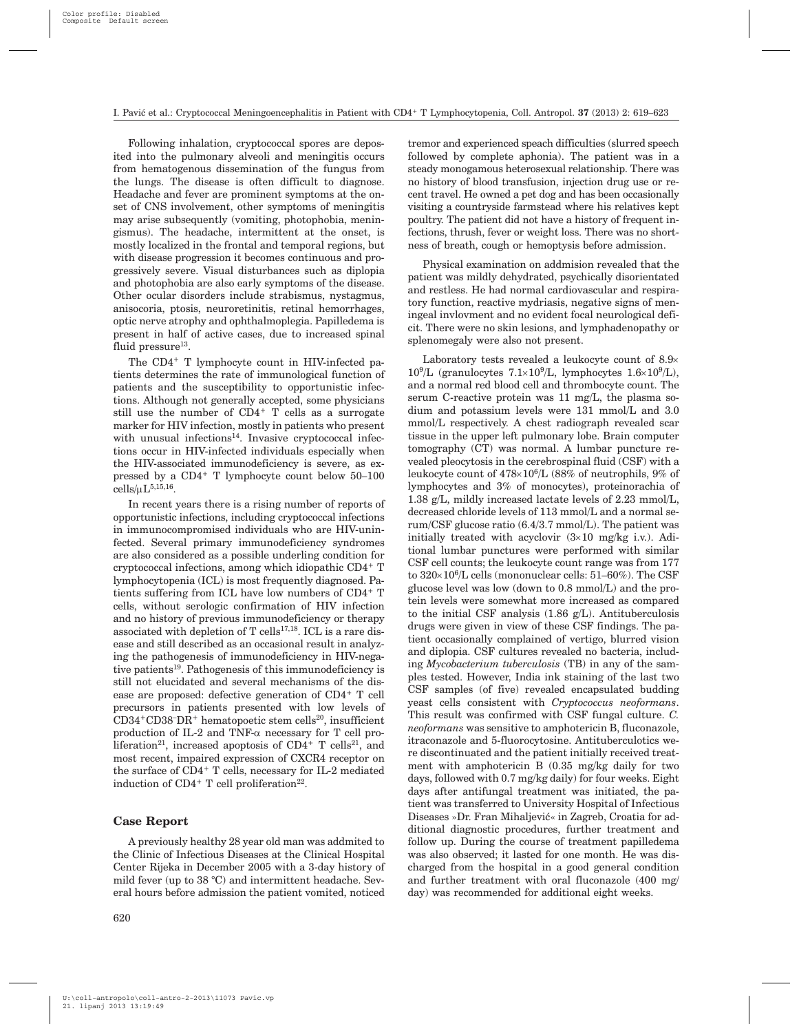Following inhalation, cryptococcal spores are deposited into the pulmonary alveoli and meningitis occurs from hematogenous dissemination of the fungus from the lungs. The disease is often difficult to diagnose. Headache and fever are prominent symptoms at the onset of CNS involvement, other symptoms of meningitis may arise subsequently (vomiting, photophobia, meningismus). The headache, intermittent at the onset, is mostly localized in the frontal and temporal regions, but with disease progression it becomes continuous and progressively severe. Visual disturbances such as diplopia and photophobia are also early symptoms of the disease. Other ocular disorders include strabismus, nystagmus, anisocoria, ptosis, neuroretinitis, retinal hemorrhages, optic nerve atrophy and ophthalmoplegia. Papilledema is present in half of active cases, due to increased spinal fluid pressure $^{13}$ .

The CD4+ T lymphocyte count in HIV-infected patients determines the rate of immunological function of patients and the susceptibility to opportunistic infections. Although not generally accepted, some physicians still use the number of CD4+ T cells as a surrogate marker for HIV infection, mostly in patients who present with unusual infections<sup>14</sup>. Invasive cryptococcal infections occur in HIV-infected individuals especially when the HIV-associated immunodeficiency is severe, as expressed by a CD4+ T lymphocyte count below 50–100  $cells/uL<sup>5,15,16</sup>$ .

In recent years there is a rising number of reports of opportunistic infections, including cryptococcal infections in immunocompromised individuals who are HIV-uninfected. Several primary immunodeficiency syndromes are also considered as a possible underling condition for cryptococcal infections, among which idiopathic CD4+ T lymphocytopenia (ICL) is most frequently diagnosed. Patients suffering from ICL have low numbers of CD4+ T cells, without serologic confirmation of HIV infection and no history of previous immunodeficiency or therapy associated with depletion of  $T$  cells<sup>17,18</sup>. ICL is a rare disease and still described as an occasional result in analyzing the pathogenesis of immunodeficiency in HIV-negative patients19. Pathogenesis of this immunodeficiency is still not elucidated and several mechanisms of the disease are proposed: defective generation of CD4+ T cell precursors in patients presented with low levels of  $CD34+CD38-DR+$  hematopoetic stem cells<sup>20</sup>, insufficient production of IL-2 and TNF- $\alpha$  necessary for T cell proliferation<sup>21</sup>, increased apoptosis of CD4<sup>+</sup> T cells<sup>21</sup>, and most recent, impaired expression of CXCR4 receptor on the surface of CD4+ T cells, necessary for IL-2 mediated induction of  $CD4^+$  T cell proliferation<sup>22</sup>.

# **Case Report**

A previously healthy 28 year old man was addmited to the Clinic of Infectious Diseases at the Clinical Hospital Center Rijeka in December 2005 with a 3-day history of mild fever (up to 38 °C) and intermittent headache. Several hours before admission the patient vomited, noticed

tremor and experienced speach difficulties (slurred speech followed by complete aphonia). The patient was in a steady monogamous heterosexual relationship. There was no history of blood transfusion, injection drug use or recent travel. He owned a pet dog and has been occasionally visiting a countryside farmstead where his relatives kept poultry. The patient did not have a history of frequent infections, thrush, fever or weight loss. There was no shortness of breath, cough or hemoptysis before admission.

Physical examination on addmision revealed that the patient was mildly dehydrated, psychically disorientated and restless. He had normal cardiovascular and respiratory function, reactive mydriasis, negative signs of meningeal invlovment and no evident focal neurological deficit. There were no skin lesions, and lymphadenopathy or splenomegaly were also not present.

Laboratory tests revealed a leukocyte count of  $8.9\times$  $10^9$ /L (granulocytes 7.1×10<sup>9</sup>/L, lymphocytes 1.6×10<sup>9</sup>/L), and a normal red blood cell and thrombocyte count. The serum C-reactive protein was 11 mg/L, the plasma sodium and potassium levels were 131 mmol/L and 3.0 mmol/L respectively. A chest radiograph revealed scar tissue in the upper left pulmonary lobe. Brain computer tomography (CT) was normal. A lumbar puncture revealed pleocytosis in the cerebrospinal fluid (CSF) with a leukocyte count of 478×10<sup>6</sup>/L (88% of neutrophils, 9% of lymphocytes and 3% of monocytes), proteinorachia of 1.38 g/L, mildly increased lactate levels of 2.23 mmol/L, decreased chloride levels of 113 mmol/L and a normal serum/CSF glucose ratio (6.4/3.7 mmol/L). The patient was initially treated with acyclovir  $(3\times10 \text{ mg/kg} \text{ i.v.})$ . Aditional lumbar punctures were performed with similar CSF cell counts; the leukocyte count range was from 177 to  $320\times10^6$ L cells (mononuclear cells:  $51-60\%$ ). The CSF glucose level was low (down to 0.8 mmol/L) and the protein levels were somewhat more increased as compared to the initial CSF analysis (1.86 g/L). Antituberculosis drugs were given in view of these CSF findings. The patient occasionally complained of vertigo, blurred vision and diplopia. CSF cultures revealed no bacteria, including *Mycobacterium tuberculosis* (TB) in any of the samples tested. However, India ink staining of the last two CSF samples (of five) revealed encapsulated budding yeast cells consistent with *Cryptococcus neoformans*. This result was confirmed with CSF fungal culture. *C. neoformans* was sensitive to amphotericin B, fluconazole, itraconazole and 5-fluorocytosine. Antituberculotics were discontinuated and the patient initially received treatment with amphotericin B (0.35 mg/kg daily for two days, followed with 0.7 mg/kg daily) for four weeks. Eight days after antifungal treatment was initiated, the patient was transferred to University Hospital of Infectious Diseases »Dr. Fran Mihaljević« in Zagreb, Croatia for additional diagnostic procedures, further treatment and follow up. During the course of treatment papilledema was also observed; it lasted for one month. He was discharged from the hospital in a good general condition and further treatment with oral fluconazole (400 mg/ day) was recommended for additional eight weeks.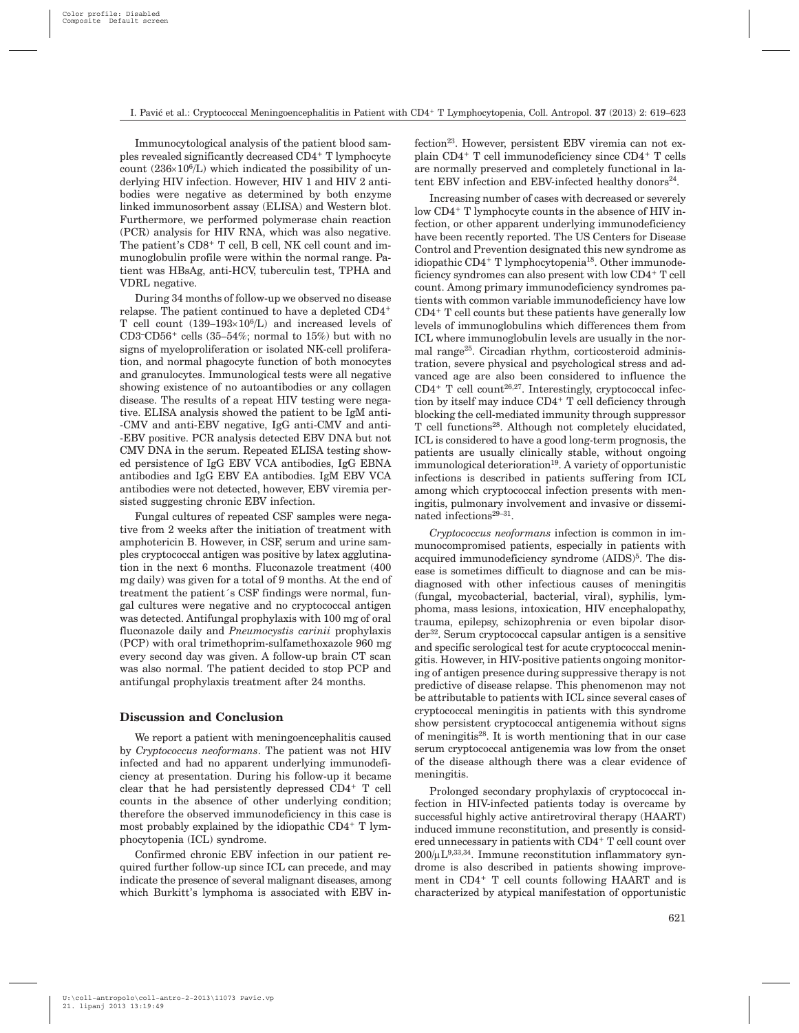Immunocytological analysis of the patient blood samples revealed significantly decreased CD4+ T lymphocyte count  $(236\times10^6/L)$  which indicated the possibility of underlying HIV infection. However, HIV 1 and HIV 2 antibodies were negative as determined by both enzyme linked immunosorbent assay (ELISA) and Western blot. Furthermore, we performed polymerase chain reaction (PCR) analysis for HIV RNA, which was also negative. The patient's CD8+ T cell, B cell, NK cell count and immunoglobulin profile were within the normal range. Patient was HBsAg, anti-HCV, tuberculin test, TPHA and VDRL negative.

During 34 months of follow-up we observed no disease relapse. The patient continued to have a depleted CD4+ T cell count  $(139-193\times10^{6}/L)$  and increased levels of CD3<sup>-</sup>CD56<sup>+</sup> cells  $(35-54\%;$  normal to  $15\%)$  but with no signs of myeloproliferation or isolated NK-cell proliferation, and normal phagocyte function of both monocytes and granulocytes. Immunological tests were all negative showing existence of no autoantibodies or any collagen disease. The results of a repeat HIV testing were negative. ELISA analysis showed the patient to be IgM anti- -CMV and anti-EBV negative, IgG anti-CMV and anti- -EBV positive. PCR analysis detected EBV DNA but not CMV DNA in the serum. Repeated ELISA testing showed persistence of IgG EBV VCA antibodies, IgG EBNA antibodies and IgG EBV EA antibodies. IgM EBV VCA antibodies were not detected, however, EBV viremia persisted suggesting chronic EBV infection.

Fungal cultures of repeated CSF samples were negative from 2 weeks after the initiation of treatment with amphotericin B. However, in CSF, serum and urine samples cryptococcal antigen was positive by latex agglutination in the next 6 months. Fluconazole treatment (400 mg daily) was given for a total of 9 months. At the end of treatment the patient´s CSF findings were normal, fungal cultures were negative and no cryptococcal antigen was detected. Antifungal prophylaxis with 100 mg of oral fluconazole daily and *Pneumocystis carinii* prophylaxis (PCP) with oral trimethoprim-sulfamethoxazole 960 mg every second day was given. A follow-up brain CT scan was also normal. The patient decided to stop PCP and antifungal prophylaxis treatment after 24 months.

#### **Discussion and Conclusion**

We report a patient with meningoencephalitis caused by *Cryptococcus neoformans*. The patient was not HIV infected and had no apparent underlying immunodeficiency at presentation. During his follow-up it became clear that he had persistently depressed CD4+ T cell counts in the absence of other underlying condition; therefore the observed immunodeficiency in this case is most probably explained by the idiopathic CD4+ T lymphocytopenia (ICL) syndrome.

Confirmed chronic EBV infection in our patient required further follow-up since ICL can precede, and may indicate the presence of several malignant diseases, among which Burkitt's lymphoma is associated with EBV infection<sup>23</sup>. However, persistent EBV viremia can not explain CD4+ T cell immunodeficiency since CD4+ T cells are normally preserved and completely functional in latent EBV infection and EBV-infected healthy donors<sup>24</sup>.

Increasing number of cases with decreased or severely low CD4+ T lymphocyte counts in the absence of HIV infection, or other apparent underlying immunodeficiency have been recently reported. The US Centers for Disease Control and Prevention designated this new syndrome as idiopathic CD4+ T lymphocytopenia18. Other immunodeficiency syndromes can also present with low CD4+ T cell count. Among primary immunodeficiency syndromes patients with common variable immunodeficiency have low CD4+ T cell counts but these patients have generally low levels of immunoglobulins which differences them from ICL where immunoglobulin levels are usually in the normal range25. Circadian rhythm, corticosteroid administration, severe physical and psychological stress and advanced age are also been considered to influence the  $CD4+T$  cell count<sup>26,27</sup>. Interestingly, cryptococcal infection by itself may induce CD4+ T cell deficiency through blocking the cell-mediated immunity through suppressor T cell functions<sup>28</sup>. Although not completely elucidated, ICL is considered to have a good long-term prognosis, the patients are usually clinically stable, without ongoing  $immunological determination<sup>19</sup>$ . A variety of opportunistic infections is described in patients suffering from ICL among which cryptococcal infection presents with meningitis, pulmonary involvement and invasive or disseminated infections $29-31$ .

*Cryptococcus neoformans* infection is common in immunocompromised patients, especially in patients with acquired immunodeficiency syndrome (AIDS)<sup>5</sup>. The disease is sometimes difficult to diagnose and can be misdiagnosed with other infectious causes of meningitis (fungal, mycobacterial, bacterial, viral), syphilis, lymphoma, mass lesions, intoxication, HIV encephalopathy, trauma, epilepsy, schizophrenia or even bipolar disorder32. Serum cryptococcal capsular antigen is a sensitive and specific serological test for acute cryptococcal meningitis. However, in HIV-positive patients ongoing monitoring of antigen presence during suppressive therapy is not predictive of disease relapse. This phenomenon may not be attributable to patients with ICL since several cases of cryptococcal meningitis in patients with this syndrome show persistent cryptococcal antigenemia without signs of meningitis28. It is worth mentioning that in our case serum cryptococcal antigenemia was low from the onset of the disease although there was a clear evidence of meningitis.

Prolonged secondary prophylaxis of cryptococcal infection in HIV-infected patients today is overcame by successful highly active antiretroviral therapy (HAART) induced immune reconstitution, and presently is considered unnecessary in patients with CD4+ T cell count over  $200/\mu L^{9,33,34}$ . Immune reconstitution inflammatory syndrome is also described in patients showing improvement in CD4+ T cell counts following HAART and is characterized by atypical manifestation of opportunistic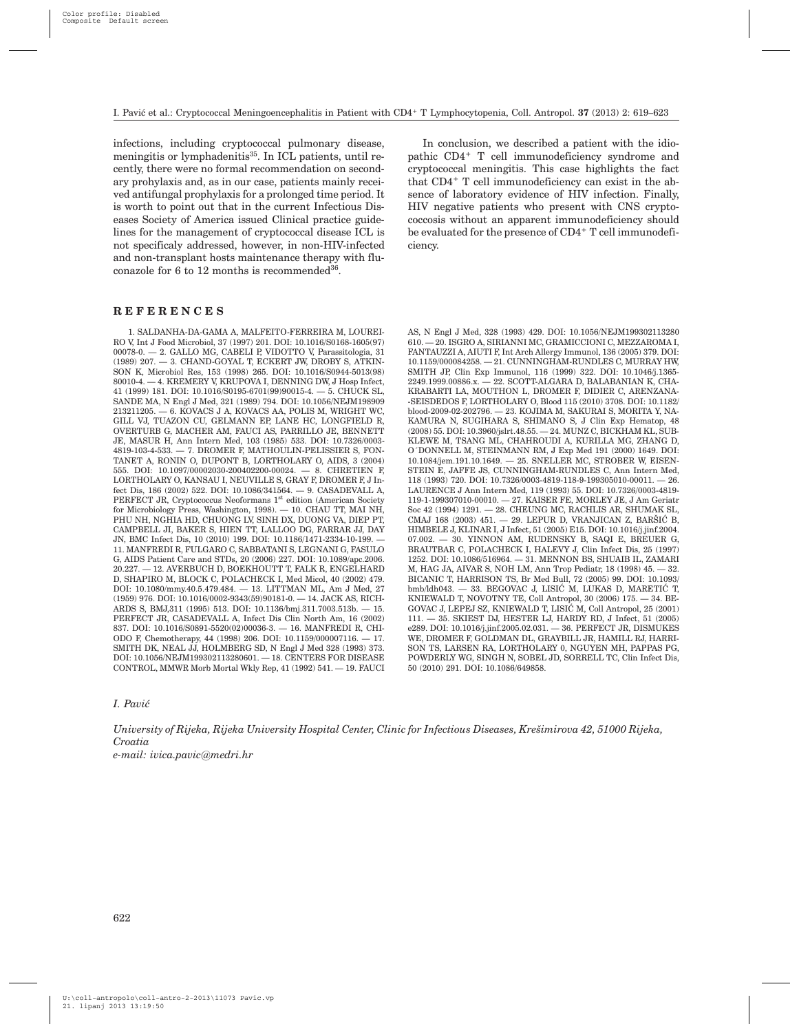infections, including cryptococcal pulmonary disease, meningitis or lymphadenitis<sup>35</sup>. In ICL patients, until recently, there were no formal recommendation on secondary prohylaxis and, as in our case, patients mainly received antifungal prophylaxis for a prolonged time period. It is worth to point out that in the current Infectious Diseases Society of America issued Clinical practice guidelines for the management of cryptococcal disease ICL is not specificaly addressed, however, in non-HIV-infected and non-transplant hosts maintenance therapy with fluconazole for 6 to 12 months is recommended36.

In conclusion, we described a patient with the idiopathic CD4+ T cell immunodeficiency syndrome and cryptococcal meningitis. This case highlights the fact that CD4+ T cell immunodeficiency can exist in the absence of laboratory evidence of HIV infection. Finally, HIV negative patients who present with CNS cryptococcosis without an apparent immunodeficiency should be evaluated for the presence of CD4<sup>+</sup> T cell immunodeficiency.

# **REFERENCES**

1. SALDANHA-DA-GAMA A, MALFEITO-FERREIRA M, LOUREI-RO V, Int J Food Microbiol, 37 (1997) 201. DOI: 10.1016/S0168-1605(97) 00078-0. — 2. GALLO MG, CABELI P, VIDOTTO V, Parassitologia, 31  $(1989)$  207.  $-$  3. CHAND-GOYAL T, ECKERT JW, DROBY S, ATKIN-SON K, Microbiol Res, 153 (1998) 265. DOI: 10.1016/S0944-5013(98) 80010-4. — 4. KREMERY V, KRUPOVA I, DENNING DW, J Hosp Infect, 41 (1999) 181. DOI: 10.1016/S0195-6701(99)90015-4. — 5. CHUCK SL, SANDE MA, N Engl J Med, 321 (1989) 794. DOI: 10.1056/NEJM198909 213211205. — 6. KOVACS J A, KOVACS AA, POLIS M, WRIGHT WC, GILL VJ, TUAZON CU, GELMANN EP, LANE HC, LONGFIELD R, OVERTURB G, MACHER AM, FAUCI AS, PARRILLO JE, BENNETT JE, MASUR H, Ann Intern Med, 103 (1985) 533. DOI: 10.7326/0003- 4819-103-4-533. — 7. DROMER F, MATHOULIN-PELISSIER S, FON-TANET A, RONIN O, DUPONT B, LORTHOLARY O, AIDS, 3 (2004) 555. DOI: 10.1097/00002030-200402200-00024. — 8. CHRETIEN F, LORTHOLARY O, KANSAU I, NEUVILLE S, GRAY F, DROMER F, J Infect Dis, 186 (2002) 522. DOI: 10.1086/341564. — 9. CASADEVALL A, PERFECT JR, Cryptococcus Neoformans 1st edition (American Society for Microbiology Press, Washington, 1998). — 10. CHAU TT, MAI NH, PHU NH, NGHIA HD, CHUONG LV, SINH DX, DUONG VA, DIEP PT, CAMPBELL JI, BAKER S, HIEN TT, LALLOO DG, FARRAR JJ, DAY JN, BMC Infect Dis, 10 (2010) 199. DOI: 10.1186/1471-2334-10-199. — 11. MANFREDI R, FULGARO C, SABBATANI S, LEGNANI G, FASULO G, AIDS Patient Care and STDs, 20 (2006) 227. DOI: 10.1089/apc.2006. 20.227. — 12. AVERBUCH D, BOEKHOUTT T, FALK R, ENGELHARD D, SHAPIRO M, BLOCK C, POLACHECK I, Med Micol, 40 (2002) 479. DOI: 10.1080/mmy.40.5.479.484. — 13. LITTMAN ML, Am J Med, 27 (1959) 976. DOI: 10.1016/0002-9343(59)90181-0. — 14. JACK AS, RICH-ARDS S, BMJ,311 (1995) 513. DOI: 10.1136/bmj.311.7003.513b. — 15. PERFECT JR, CASADEVALL A, Infect Dis Clin North Am, 16 (2002) 837. DOI: 10.1016/S0891-5520(02)00036-3. — 16. MANFREDI R, CHI-ODO F, Chemotherapy, 44 (1998) 206. DOI: 10.1159/000007116. — 17. SMITH DK, NEAL JJ, HOLMBERG SD, N Engl J Med 328 (1993) 373. DOI: 10.1056/NEJM199302113280601. — 18. CENTERS FOR DISEASE CONTROL, MMWR Morb Mortal Wkly Rep, 41 (1992) 541. — 19. FAUCI

AS, N Engl J Med, 328 (1993) 429. DOI: 10.1056/NEJM199302113280 610. — 20. ISGRO A, SIRIANNI MC, GRAMICCIONI C, MEZZAROMA I, FANTAUZZI A, AIUTI F, Int Arch Allergy Immunol, 136 (2005) 379. DOI: 10.1159/000084258. — 21. CUNNINGHAM-RUNDLES C, MURRAY HW, SMITH JP, Clin Exp Immunol, 116 (1999) 322. DOI: 10.1046/j.1365- 2249.1999.00886.x. — 22. SCOTT-ALGARA D, BALABANIAN K, CHA-KRABARTI LA, MOUTHON L, DROMER F, DIDIER C, ARENZANA- -SEISDEDOS F, LORTHOLARY O, Blood 115 (2010) 3708. DOI: 10.1182/ blood-2009-02-202796. — 23. KOJIMA M, SAKURAI S, MORITA Y, NA-KAMURA N, SUGIHARA S, SHIMANO S, J Clin Exp Hematop, 48 (2008) 55. DOI: 10.3960/jslrt.48.55. — 24. MUNZ C, BICKHAM KL, SUB-KLEWE M, TSANG ML, CHAHROUDI A, KURILLA MG, ZHANG D, O´DONNELL M, STEINMANN RM, J Exp Med 191 (2000) 1649. DOI: 10.1084/jem.191.10.1649. — 25. SNELLER MC, STROBER W, EISEN-STEIN E, JAFFE JS, CUNNINGHAM-RUNDLES C, Ann Intern Med, 118 (1993) 720. DOI: 10.7326/0003-4819-118-9-199305010-00011. — 26. LAURENCE J Ann Intern Med, 119 (1993) 55. DOI: 10.7326/0003-4819- 119-1-199307010-00010. — 27. KAISER FE, MORLEY JE, J Am Geriatr Soc 42 (1994) 1291. — 28. CHEUNG MC, RACHLIS AR, SHUMAK SL, CMAJ 168 (2003) 451. - 29. LEPUR D, VRANJICAN Z, BARŠIĆ B, HIMBELE J, KLINAR I, J Infect, 51 (2005) E15. DOI: 10.1016/j.jinf.2004. 07.002. — 30. YINNON AM, RUDENSKY B, SAQI E, BREUER G, BRAUTBAR C, POLACHECK I, HALEVY J, Clin Infect Dis, 25 (1997) 1252. DOI: 10.1086/516964. — 31. MENNON BS, SHUAIB IL, ZAMARI M, HAG JA, AIVAR S, NOH LM, Ann Trop Pediatr, 18 (1998) 45. — 32. BICANIC T, HARRISON TS, Br Med Bull, 72 (2005) 99. DOI: 10.1093/  $b$ mb/ldh043. — 33. BEGOVAC J, LISIĆ M, LUKAS D, MARETIĆ T, KNIEWALD T, NOVOTNY TE, Coll Antropol, 30 (2006) 175. — 34. BE-GOVAC J, LEPEJ SZ, KNIEWALD T, LISIĆ M, Coll Antropol, 25 (2001) 111. — 35. SKIEST DJ, HESTER LJ, HARDY RD, J Infect, 51 (2005) e289. DOI: 10.1016/j.jinf.2005.02.031. — 36. PERFECT JR, DISMUKES WE, DROMER F, GOLDMAN DL, GRAYBILL JR, HAMILL RJ, HARRI-SON TS, LARSEN RA, LORTHOLARY 0, NGUYEN MH, PAPPAS PG POWDERLY WG, SINGH N, SOBEL JD, SORRELL TC, Clin Infect Dis, 50 (2010) 291. DOI: 10.1086/649858.

#### *I. Pavi}*

*University of Rijeka, Rijeka University Hospital Center, Clinic for Infectious Diseases, Kre{imirova 42, 51000 Rijeka, Croatia e-mail: ivica.pavic@medri.hr*